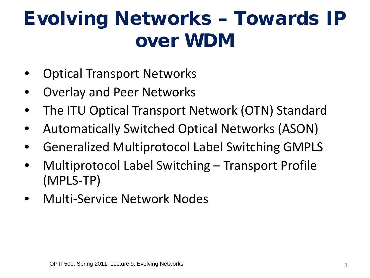#### Evolving Networks – Towards IP over WDM

- Optical Transport Networks
- Overlay and Peer Networks
- The ITU Optical Transport Network (OTN) Standard
- Automatically Switched Optical Networks (ASON)
- Generalized Multiprotocol Label Switching GMPLS
- Multiprotocol Label Switching Transport Profile (MPLS-TP)
- Multi-Service Network Nodes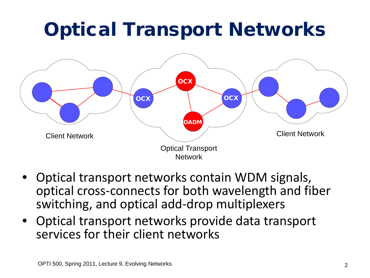## Optical Transport Networks



- Optical transport networks contain WDM signals, optical cross-connects for both wavelength and fiber switching, and optical add-drop multiplexers
- Optical transport networks provide data transport services for their client networks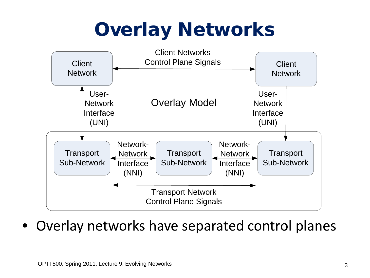## Overlay Networks



• Overlay networks have separated control planes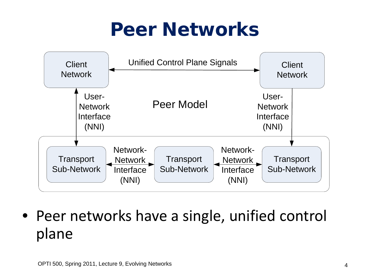#### Peer Networks



• Peer networks have a single, unified control plane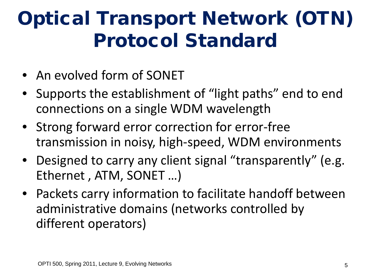## Optical Transport Network (OTN) Protocol Standard

- An evolved form of SONET
- Supports the establishment of "light paths" end to end connections on a single WDM wavelength
- Strong forward error correction for error-free transmission in noisy, high-speed, WDM environments
- Designed to carry any client signal "transparently" (e.g. Ethernet , ATM, SONET …)
- Packets carry information to facilitate handoff between administrative domains (networks controlled by different operators)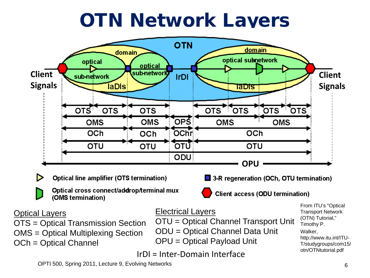#### OTN Network Layers



OMS = Optical Multiplexing Section OCh = Optical Channel

ODU = Optical Channel Data Unit

OPU = Optical Payload Unit

IrDI = Inter-Domain Interface

Timothy P. Walker, http://www.itu.int/ITU-T/studygroups/com15/ otn/OTNtutorial.pdf

OPTI 500, Spring 2011, Lecture 9, Evolving Networks 6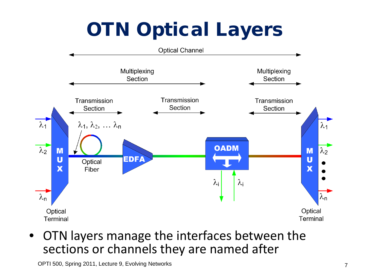# **OTN Optical Layers**



• OTN layers manage the interfaces between the sections or channels they are named after

OPTI 500, Spring 2011, Lecture 9, Evolving Networks **7** and 2011 and 2011 and 2011 and 2011 and 2011 and 2012 and 2012 and 2012 and 2012 and 2012 and 2012 and 2012 and 2012 and 2012 and 2012 and 2012 and 2012 and 2012 and